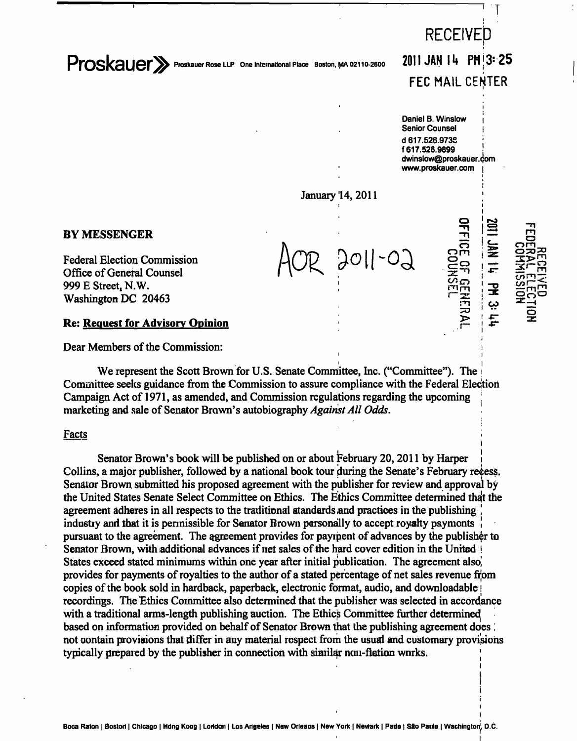**Proskauer >** Proskauer Rose LLP One International Place Boston, MA 02110-2600 2011 JAM 14 PM 3: 25

# **RECEIVE** FEC MAIL CENTER

Daniel B. Winslow Senior Counsel d 617.526.9736 ; f 617.526.9899 j dwinslow@proskauer.com www.proskauer.com |

o

**r o** 

**m**  ಸ

**o 3E:** 

**o** 

**T J CO** 

i

I

I

 $\bar{\mathbf{c}}$  $\bar{\mathbf{c}}$ با

m m m  $\boldsymbol{\simeq}$ **>**   $\mathcal{L}_{\mathcal{L}}$ 

January 14, 2011

 $3011 - 02$ 

### **BY MESSENGER**

Federal Election Commission Office of Genetal Counsel 999 E Street, N.W. Washington DC 20463

### **Re: Request for Advisory Opinion**

Dear Members of the Commission:

We represent the Scott Brown for U.S. Senate Committee, Inc. ("Committee"). The *Committee seeks guidance from the Commission to assure compliance with the Federal Eiectioh*  Campaign Act of 1971, as amended, and Commission regulations regarding the upcoming *marketing and sale of Senator Brown's autobiography Against All Odds.* 

### **Facts**

Senator Brown's book will be published on or about February 20, 2011 by Harper Collins, a major publisher, followed by a national book tour during the Senate's February recess. Senator Brown submitted his proposed agreement with the publisher for review and approval by the United States Senate Select Committee on Ethics. The Ethics Committee determined that the agreement adheres in all respects to the traditional atandards, and practices in the publishing industry and that it is permissible for Senator Brown personally to accept roysity paymonts pursuant to the agreement. The agreement provides for payment of advances by the publisher to Senator Brown, with additional advances if net sales of the hard cover edition in the United i States exceed stated minimums within one year after initial publication. The agreement also, provides for payments of royalties to the author of a stated percentage of net sales revenue from copies of the book sold in hardback, paperback, electronic format, audio, and downloadable i recordings. The Ethics Committee also determined that the publisher was selected in accordance with a traditional arms-length publishing auction. The Ethics Committee further determined based on information provided on behalf of Senator Brown that the publishing agreement does : not contain provisions that differ in any material respect from the usual and customary provisions typically prepared by the publisher in connection with similar non-fiction works.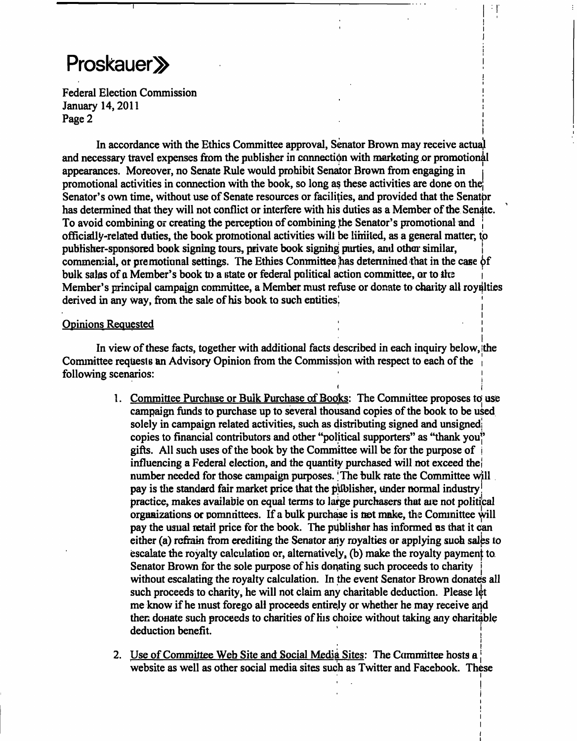### **Proskauer** >>

**Federal Election Commission January 14,2011 ! Page 2 I**  $\frac{1}{2}$  **Page 2 I**  $\frac{1}{2}$  **I**  $\frac{1}{2}$  **I**  $\frac{1}{2}$  **I**  $\frac{1}{2}$  **I**  $\frac{1}{2}$  **I**  $\frac{1}{2}$  **I**  $\frac{1}{2}$  **I**  $\frac{1}{2}$  **I**  $\frac{1}{2}$  **I**  $\frac{1}{2}$  **I**  $\frac{1}{2}$  **I**  $\frac{1}{2}$  **I**  $\frac{1}{2}$  **I**  $\frac$ 

**i In accordance with the Ethics Committee approval. Senator Brown may receive actual and necessary travel expenses from the publisher in connection with marketing or promotional appearances. Moreover, no Senate Rule would prohibit Senator Brown from engaging in | promotional activities in connection with the book, so long as these activities are done on the; Senator's own time, without use of Senate resources or facilities, and provided that the Senatbr has determined that they will not conflict or interfere with his duties as a Member of the Senate.**  To avoid combining or creating the perception of combining the Senator's promotional and **officially-related duties, the book promotional activities will be limited, as a general matter, tp**  publisher-sponsored book signing tours, private book signing parties, and other similar, commencial, or premotional settings. The Ethics Committee has determined that in the case of bulk sales of a Member's book to a state or federal political action committee, or to the **Member's principal campaign committee, a Member must refuse or donate to charity all royalties**  derived in any way, from the sale of his book to such entities.

**I** 

÷Γ

**I** 

**I** 

**!** 

**I j i I 1 I I** 

### **Opinions Requested |**

**I**  In view of these facts, together with additional facts described in each inquiry below, the<br>ttos registals by Advisory Opinion from the Commission with respect to each of the Committee requests an Advisory Opinion from the Commission with respect to each of the following scenarios:

- 1. Committee Purchase or Bulk Purchase of Books: The Committee proposes to use **campaign funds to purchase up to several thousand copies of the book to be used solely in campaign related activities, such as distributing signed and unsigned!**  copies to financial contributors and other "political supporters" as "thank you<sup>"</sup> **gifrs. All such uses of the book by the Committee will be for the purpose of i influencing a Federal election, and the quantity purchased will not exceed the|**  number needed for those campaign purposes. The bulk rate the Committee will **pay is the standard fair market price that the publisher, under normal industry! practice, makes available on equal terms to large purchasers that are not politijcal organizations or pomnittees.** If a bulk purchase is not make, the Committee will pay the usual retail price for the book. The publisher has informed as that it can either (a) refrain from erediting the Senator any royalties or applying such sales to **escalate the royalty calculation or, altematively, (b) make the royalty payment to.**  Senator Brown for the sole purpose of his donating such proceeds to charity **without escalating the royalty calculation. In the event Senator Brown donates all such proceeds to charity, he will not claim any charitable deduction. Please let me know if he must forego all proceeds entirejy or whether he may receive arid then donate such proceeds to charities of his choice without taking any charitable**  deduction benefit.
- **I**  2. Use of Committee Web Site and Social Media Sites: The Committee hosts a **website as well as other social media sites such as Twitter and Facebook. These**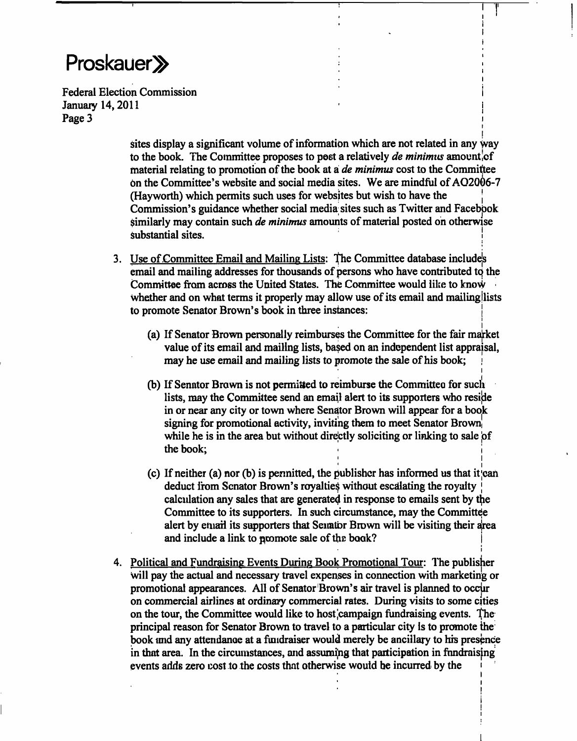### Proskauer<sub>></sub>

**Federal Election Commission January 14,2011 Page 3** 

> **sites display a significant volume of information which are not related in any way to the book. The Committee proposes to post a relatively de minimus amount iof**  material relating to promotion of the book at a *de minimus* cost to the Committee **dn the Committee's website and social media sites. We are mindful of AO2O06-7 (Hayworth) which permits such uses for websites but wish to have the | Commission's guidance whether social media sites such as Twitter and Facebpok \$imilarly may contain such de minimus amounts of material posted on otherwise**  substantial sites.

**I r I '** 

**!** 

**I** 

**I** 

**I I ! i I** 

- **3. Use of Committee Email and Mailing Lists: The Committee database includes** email and mailing addresses for thousands of persons who have contributed to the Committee from across the United States. The Committee would like to know **whether and on what terms it properly may allow use of its email and mailingllists to promote Senator Brown's book in three instances: |** 
	- (a) If Senator Brown personally reimburses the Committee for the fair market **value of its email and mailing lists, based on an independent list appraisal,**  *may he use email and mailing lists to promote the sale of his book; \*
	- **(b) If Senator Brovm is not permitted to reimburse the Committee for such**  lists, may the Committee send an email alert to its supporters who reside in or near any city or town where Senator Brown will appear for a book **signing for promotional activity, inviting them to meet Senator Browni**  while he is in the area but without directly soliciting or linking to sale of  $\bullet$  **the book;**  $\bullet$  **i**
	- **I**  (c) If neither (a) nor (b) is permitted, the publisher has informed us that it can **deduct from Scnator Brown's royalties without escalating the royalty** calculation any sales that are generated in response to emails sent by the Committee to its supporters. In such circumstance, may the Committee alert by email its supporters that Semator Brown will be visiting their area and include a link to promote sale of the book? **and include a link to promote sale of the book? 1**
- **I I**  will pay the actual and necessary travel expenses in connection with marketing or promotional appearances. All of Senator Brown's air travel is planned to occur on commercial airlines at ordinary commercial rates. During visits to some cities on the tour, the Committee would like to host campaign fundraising events. The principal reason for Senator Brown to travel to a particular city is to promote the book and any attendance at a fundraiser would merely be ancillary to his presence in that area. In the circumstances, and assuming that participation in fundraising events adds zero cost to the costs that otherwise would be incurred by the **events adds zero cost to the costs that otherwise would be incurred by the <**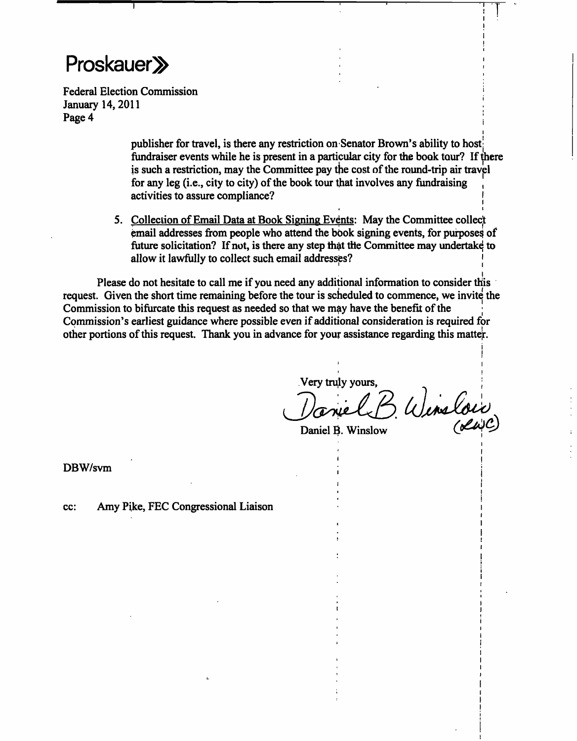## Proskauer<sub>></sub>

**Federal Election Commission January 14,2011 Page 4** 

> **publisher for travel, is there any restriction on Senator Brown's ability to hostfundraiser events while he is present in a particular city for the book tour? If there is such a restriction, may the Committee pay the cost of the round-trip air travpl for any leg (i.e., city to city) of the book tour that involves any fundraising , activities to assure compliance? |**

**5. Collection of Email Data at Book Signing Events: May the Committee collecit**  email addresses from people who attend the book signing events, for purposes of future solicitation? If not, is there any step that the Committee may undertake to **allow it lawfully to collect such email addresses? '** 

Please do not hesitate to call me if you need any additional information to consider this request. Given the short time remaining before the tour is scheduled to commence, we invite the **Commission to bifurcate this request as needed so that we may have the benefit of the ; Commission's earliest guidance where possible even if additional consideration is required for other portions of this request. Thank you in advance for your assistance regarding this matter.** 

**Very truly yours,** 

Daniel B. Winslau

**' I I I** I I **I** I **I** I **I** I **I** 

**i I** 

**; I** 

**: I** 

**i j** 

**I I** 

**!** 

**I I** 

**I** 

*Daniel B. Winslow (jMfi^* 

**DBW/svm** 

**cc: Amy Pike, FEC Congressional Liaison i**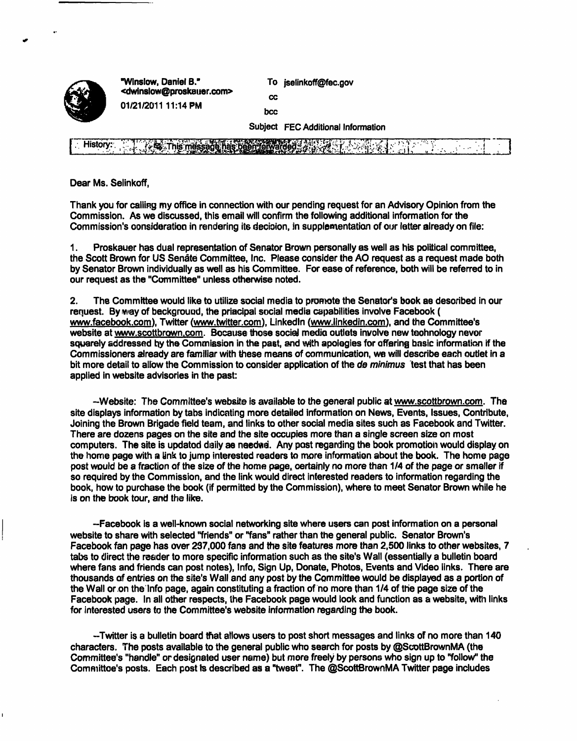

**"Winslow, Daniel B." <dwinslow@proskauer.com> 01/21/2011 11:14 PM** 

**To jselinkoff@fec.gov** 

**cc bcc** 

**Subject FEC Additional Information** 

|--|

**Dear Ms. Selinkoff,** 

**Thank you for calling my office in connection with our pending request for an Advisory Opinion from the Commission. As we discussed, this email will confirm the following additional information for the Commission's consideration in rendering its decision, in supplementation of our letter already on file:** 

**1. Proskauer has dual representation of Senator Brown personally as well as his political committee, the Scott Brown for US Senate Committee, Inc. Please consider the AO request as a request made both by Senator Brown individually as well as his Committee. For ease of reference, both will be referred to in our request as the "Committee" unless othenvise noted.** 

**2. The Committee would like to utilize social media to promote the Senator's book as described in our request. By way of background, the principal social media capabilities involve Facebook ( www.facebook.com). Twitter (www.twitter.com). Linkedin (www.linkedin.com). and the Committee's**  website at www.scottbrown.com. Bocause those social media outlets involve new technology never **squarely addressed by the Commission in the past, and with apologies for offering basic information if the Commissioners already are familiar with these means of communication, we will describe each outlet in a bit more detail to allow the Commission to consider application of the de minimus test that has been applied in website advisories in the past:** 

**-Website: The Committee's website is available to the general public at www.scottbrown.com. The site displays information by tabs indicating more detailed information on News, Events, Issues, Contribute, Joining the Brown Brigade field team, and links to other social media sites such as Facebook and Twitter. There are dozens pages on the site and the site occupies more than a single screen size on most computers. The site is updated daily as needed. Any post regarding the book promotion would display on the home page with a link to jump interested readers to more information about the book. The home page post would be a fraction of the size of the home page, certainly no more than 1/4 of the page or smaller if so required by the Commission, and the link would direct interested readers to information regarding the book, how to purchase the book (if permitted by the Commission), where to meet Senator Brown while he is on the book tour, and the like.** 

**-Facebook is a well-known social networking site where users can post information on a personal website to share with selected "friends" or "fans" rather than the general public. Senator Brown's Facebook fan page has over 237,000 fans and the site features more than 2,500 links to other websites, 7 tabs to direct the reader to more specific information such as the site's Wall (essentially a bulletin board where fans and friends can post notes). Info, Sign Up, Donate, Photos, Events and Video links. There are thousands of entries on the site's Wall and any post by the Committee would be displayed as a portion of the Wall or on the Info page, again constituting a fraction of no more than 1/4 of the page size of the Facebook page. In all other respects, the Facebook page would look and function as a website, with links for interested users to the Committee's website information regarding the book.** 

**-Twitter is a bulletin board that allows users to post short messages and links of no more than 140 characters. The posts available to the general public who search for posts by (gScottBrownMA (the Committee's "handle" or designated user name) but more freely by persons who sign up to "follow" the Committee's posts. Each post is described as a "tweet". The @ScottBrownMA Twitter page includes**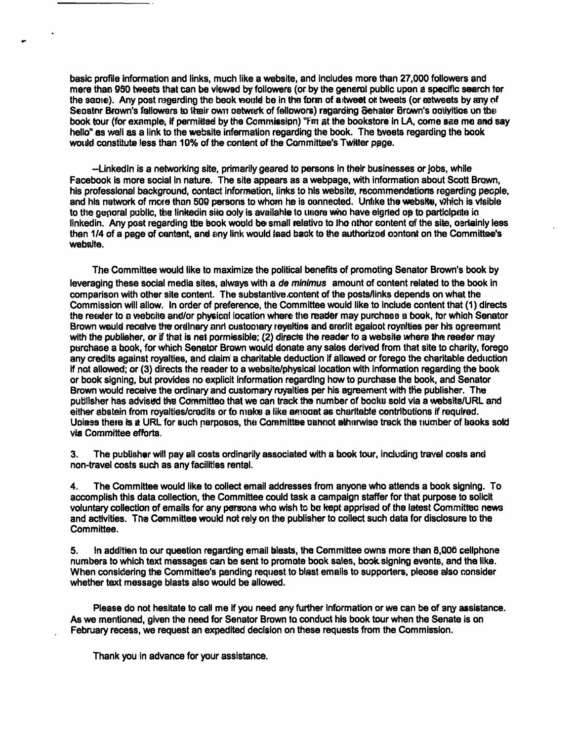**basic profile information and links, much like a website, and includes more than 27,000 followers and more than 950 tweets that can be viewed by followers (or by the general public upon a specific search for**  the same). Any post nagarding the beok would be in the form of a tweet or tweets (or estweets by any of Senator Brown's fallowers to their own network of followors) regarding Genator Brown's collyities on the book tour (for example, if permitted by the Commission) "Fini at the bookstore in LA, come sae me and say **hello" as well as a link to the website information regarding the book. The tweets regarding the book would constitute less than 10% of the content of the Committee's Twitter page.** 

**-Linkedin is a networking site, primarily geared to persons in their businesses or jobs, while Facebook is more social in nature. The site appears as a webpage, with information about Scott Brown, his professional background, contact information, links to his website, recommendations regarding people, and his network of more than 500 persons to whom he is connected. Unlike the website, which is visible**  to the genoral public, the linkedin site only is availahle to users who have eigried op to participate in **linkedin. Any post regarding the book would be small relative to the other content of the site, certainly less than 1/4 of a page of content, and any link would lead back to the authorized content on the Committee's website.** 

**The Committee would like to maximize the political benefits of promoting Senator Brown's book by leveraging these social media sites, always with a de minimus amount of content related to the book in comparison with other site content. The substantive content of the posts/links depends on what the Commission will allow, in order of preference, the Committee would like to include content that (1) directs the reader to a website and/or physical location where the reader may purchase a book, for which Senator**  Brown would receive the ordinary and customary reyalties and credit againot royalties per his coreement with the publisher, or if that is net pormissible; (2) directs the reader to a website where the reader may **purchase a book, for which Senator Brown would donate any sales derived from that site to charity, forego any credits against royalties, and claim a charitable deduction if allowed or forego the charitable deduction if not allowed; or (3) directs the reader to a website/physical location with information regarding the book or book signing, but provides no explicit information regarding how to purchase the book, and Senator Brown would receive the ordinary and customary royalties per his agreement with the publisher. The publisher has advised the Committee that we can track the number of books sold via a website/URL and**  either abstain from royalties/credits or to make a like annount as charitable contributions if required. Uniess there is a URL for such perposos, the Coramittee cannot atherwise track the number of books sold **via Committee efforts.** 

**3. The publisher will pay all costs ordinarily associated with a book tour, including travel costs and non-travel costs such as any facilities rental.** 

**4. The Committee would like to collect email addresses from anyone who attends a book signing. To accomplish this data collection, the Committee could task a campaign staffer for that purpose to solicit voluntary collection of emails for any persons who wish to be kept apprised of the latest Committee news and activities. The Committee would not rely on the publisher to collect such data for disclosure to the Committee.** 

**5. In addition to our question regarding email blasts, the Committee owns more than 8,000 cellphone numbers to which text messages can be sent to promote book sales, book signing events, and the like. When considering the Committee's pending request to blast emails to supporters, please also consider whether text message blasts also would be allowed.** 

**Please do not hesitate to call me if you need any further information or we can be of any assistance. As we mentioned, given the need for Senator Brown to conduct his book tour when the Senate is on February recess, we request an expedited decision on these requests from the Commission.** 

**Thank you in advance for your assistance.**